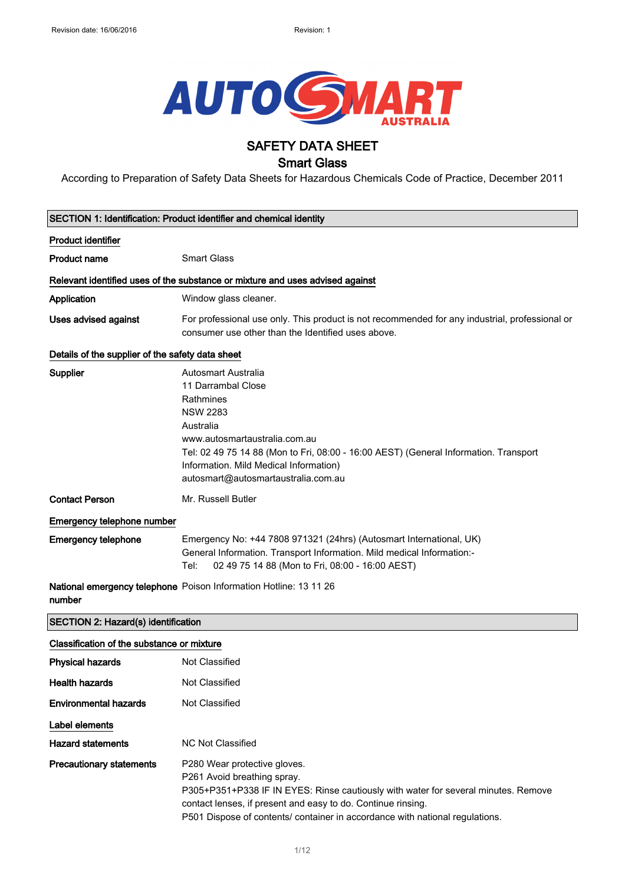

# SAFETY DATA SHEET

## Smart Glass

According to Preparation of Safety Data Sheets for Hazardous Chemicals Code of Practice, December 2011

| <b>SECTION 1: Identification: Product identifier and chemical identity</b>  |                                                                                                                                                                                                                                                                                                         |  |
|-----------------------------------------------------------------------------|---------------------------------------------------------------------------------------------------------------------------------------------------------------------------------------------------------------------------------------------------------------------------------------------------------|--|
| <b>Product identifier</b>                                                   |                                                                                                                                                                                                                                                                                                         |  |
| <b>Product name</b>                                                         | <b>Smart Glass</b>                                                                                                                                                                                                                                                                                      |  |
|                                                                             | Relevant identified uses of the substance or mixture and uses advised against                                                                                                                                                                                                                           |  |
| Application                                                                 | Window glass cleaner.                                                                                                                                                                                                                                                                                   |  |
| Uses advised against                                                        | For professional use only. This product is not recommended for any industrial, professional or<br>consumer use other than the Identified uses above.                                                                                                                                                    |  |
| Details of the supplier of the safety data sheet                            |                                                                                                                                                                                                                                                                                                         |  |
| <b>Supplier</b>                                                             | <b>Autosmart Australia</b><br>11 Darrambal Close<br>Rathmines<br><b>NSW 2283</b><br>Australia<br>www.autosmartaustralia.com.au<br>Tel: 02 49 75 14 88 (Mon to Fri, 08:00 - 16:00 AEST) (General Information. Transport<br>Information. Mild Medical Information)<br>autosmart@autosmartaustralia.com.au |  |
| <b>Contact Person</b>                                                       | Mr. Russell Butler                                                                                                                                                                                                                                                                                      |  |
| Emergency telephone number                                                  |                                                                                                                                                                                                                                                                                                         |  |
| <b>Emergency telephone</b>                                                  | Emergency No: +44 7808 971321 (24hrs) (Autosmart International, UK)<br>General Information. Transport Information. Mild medical Information:-<br>02 49 75 14 88 (Mon to Fri, 08:00 - 16:00 AEST)<br>Tel:                                                                                                |  |
| National emergency telephone Poison Information Hotline: 13 11 26<br>number |                                                                                                                                                                                                                                                                                                         |  |
| SECTION 2: Hazard(s) identification                                         |                                                                                                                                                                                                                                                                                                         |  |
| Classification of the substance or mixture                                  |                                                                                                                                                                                                                                                                                                         |  |
| <b>Physical hazards</b>                                                     | <b>Not Classified</b>                                                                                                                                                                                                                                                                                   |  |
| <b>Health hazards</b>                                                       | Not Classified                                                                                                                                                                                                                                                                                          |  |
| <b>Environmental hazards</b>                                                | <b>Not Classified</b>                                                                                                                                                                                                                                                                                   |  |
| Label elements                                                              |                                                                                                                                                                                                                                                                                                         |  |
| <b>Hazard statements</b>                                                    | <b>NC Not Classified</b>                                                                                                                                                                                                                                                                                |  |
| <b>Precautionary statements</b>                                             | P280 Wear protective gloves.<br>P261 Avoid breathing spray.<br>P305+P351+P338 IF IN EYES: Rinse cautiously with water for several minutes. Remove<br>contact lenses, if present and easy to do. Continue rinsing.<br>P501 Dispose of contents/ container in accordance with national regulations.       |  |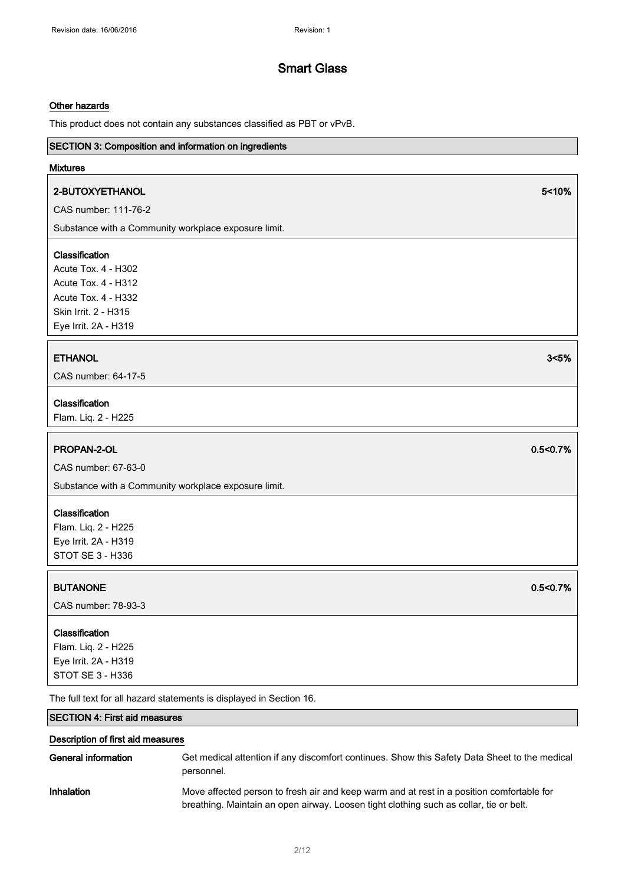#### Other hazards

This product does not contain any substances classified as PBT or vPvB.

## SECTION 3: Composition and information on ingredients

### Mixtures

### 2-BUTOXYETHANOL 5<10%

CAS number: 111-76-2

Substance with a Community workplace exposure limit.

## Classification

Acute Tox. 4 - H302 Acute Tox. 4 - H312 Acute Tox. 4 - H332 Skin Irrit. 2 - H315 Eye Irrit. 2A - H319

## ETHANOL 3<5%

CAS number: 64-17-5

#### Classification

Flam. Liq. 2 - H225

### PROPAN-2-OL 0.5<0.7%

CAS number: 67-63-0

Substance with a Community workplace exposure limit.

#### **Classification**

Flam. Liq. 2 - H225 Eye Irrit. 2A - H319 STOT SE 3 - H336

### BUTANONE 0.5<0.7%

CAS number: 78-93-3

### Classification

Flam. Liq. 2 - H225 Eye Irrit. 2A - H319 STOT SE 3 - H336

The full text for all hazard statements is displayed in Section 16.

## SECTION 4: First aid measures

### Description of first aid measures

| General information | Get medical attention if any discomfort continues. Show this Safety Data Sheet to the medical<br>personnel.                                                                         |
|---------------------|-------------------------------------------------------------------------------------------------------------------------------------------------------------------------------------|
| Inhalation          | Move affected person to fresh air and keep warm and at rest in a position comfortable for<br>breathing. Maintain an open airway. Loosen tight clothing such as collar, tie or belt. |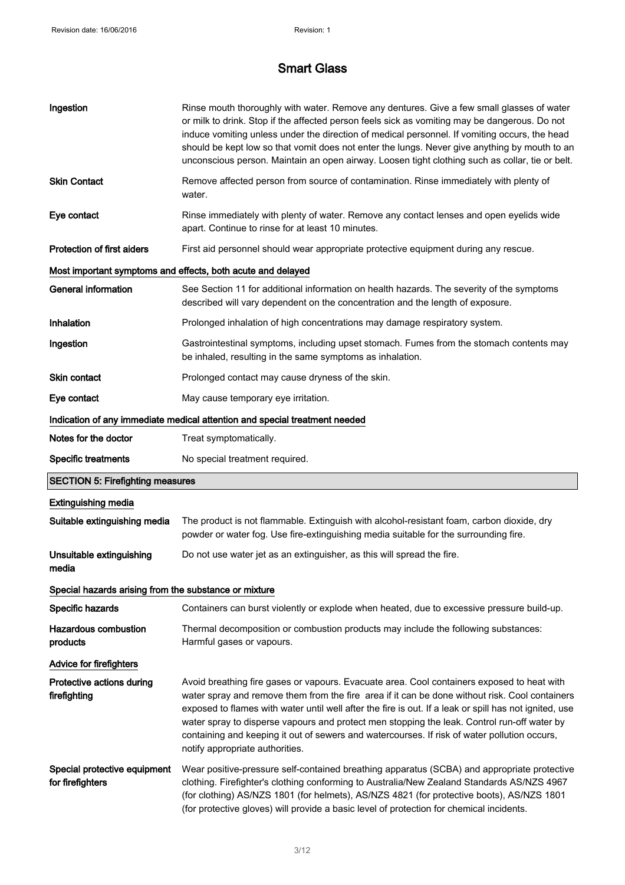| Ingestion                                                                  | Rinse mouth thoroughly with water. Remove any dentures. Give a few small glasses of water<br>or milk to drink. Stop if the affected person feels sick as vomiting may be dangerous. Do not<br>induce vomiting unless under the direction of medical personnel. If vomiting occurs, the head<br>should be kept low so that vomit does not enter the lungs. Never give anything by mouth to an<br>unconscious person. Maintain an open airway. Loosen tight clothing such as collar, tie or belt.                                          |  |  |
|----------------------------------------------------------------------------|------------------------------------------------------------------------------------------------------------------------------------------------------------------------------------------------------------------------------------------------------------------------------------------------------------------------------------------------------------------------------------------------------------------------------------------------------------------------------------------------------------------------------------------|--|--|
| <b>Skin Contact</b>                                                        | Remove affected person from source of contamination. Rinse immediately with plenty of<br>water.                                                                                                                                                                                                                                                                                                                                                                                                                                          |  |  |
| Eye contact                                                                | Rinse immediately with plenty of water. Remove any contact lenses and open eyelids wide<br>apart. Continue to rinse for at least 10 minutes.                                                                                                                                                                                                                                                                                                                                                                                             |  |  |
| <b>Protection of first aiders</b>                                          | First aid personnel should wear appropriate protective equipment during any rescue.                                                                                                                                                                                                                                                                                                                                                                                                                                                      |  |  |
| Most important symptoms and effects, both acute and delayed                |                                                                                                                                                                                                                                                                                                                                                                                                                                                                                                                                          |  |  |
| <b>General information</b>                                                 | See Section 11 for additional information on health hazards. The severity of the symptoms<br>described will vary dependent on the concentration and the length of exposure.                                                                                                                                                                                                                                                                                                                                                              |  |  |
| Inhalation                                                                 | Prolonged inhalation of high concentrations may damage respiratory system.                                                                                                                                                                                                                                                                                                                                                                                                                                                               |  |  |
| Ingestion                                                                  | Gastrointestinal symptoms, including upset stomach. Fumes from the stomach contents may<br>be inhaled, resulting in the same symptoms as inhalation.                                                                                                                                                                                                                                                                                                                                                                                     |  |  |
| <b>Skin contact</b>                                                        | Prolonged contact may cause dryness of the skin.                                                                                                                                                                                                                                                                                                                                                                                                                                                                                         |  |  |
| Eye contact                                                                | May cause temporary eye irritation.                                                                                                                                                                                                                                                                                                                                                                                                                                                                                                      |  |  |
| Indication of any immediate medical attention and special treatment needed |                                                                                                                                                                                                                                                                                                                                                                                                                                                                                                                                          |  |  |
| Notes for the doctor                                                       | Treat symptomatically.                                                                                                                                                                                                                                                                                                                                                                                                                                                                                                                   |  |  |
| <b>Specific treatments</b>                                                 | No special treatment required.                                                                                                                                                                                                                                                                                                                                                                                                                                                                                                           |  |  |
|                                                                            |                                                                                                                                                                                                                                                                                                                                                                                                                                                                                                                                          |  |  |
| <b>SECTION 5: Firefighting measures</b>                                    |                                                                                                                                                                                                                                                                                                                                                                                                                                                                                                                                          |  |  |
| <b>Extinguishing media</b>                                                 |                                                                                                                                                                                                                                                                                                                                                                                                                                                                                                                                          |  |  |
| Suitable extinguishing media                                               | The product is not flammable. Extinguish with alcohol-resistant foam, carbon dioxide, dry<br>powder or water fog. Use fire-extinguishing media suitable for the surrounding fire.                                                                                                                                                                                                                                                                                                                                                        |  |  |
| Unsuitable extinguishing<br>media                                          | Do not use water jet as an extinguisher, as this will spread the fire.                                                                                                                                                                                                                                                                                                                                                                                                                                                                   |  |  |
| Special hazards arising from the substance or mixture                      |                                                                                                                                                                                                                                                                                                                                                                                                                                                                                                                                          |  |  |
| Specific hazards                                                           | Containers can burst violently or explode when heated, due to excessive pressure build-up.                                                                                                                                                                                                                                                                                                                                                                                                                                               |  |  |
| <b>Hazardous combustion</b><br>products                                    | Thermal decomposition or combustion products may include the following substances:<br>Harmful gases or vapours.                                                                                                                                                                                                                                                                                                                                                                                                                          |  |  |
| <b>Advice for firefighters</b>                                             |                                                                                                                                                                                                                                                                                                                                                                                                                                                                                                                                          |  |  |
| Protective actions during<br>firefighting                                  | Avoid breathing fire gases or vapours. Evacuate area. Cool containers exposed to heat with<br>water spray and remove them from the fire area if it can be done without risk. Cool containers<br>exposed to flames with water until well after the fire is out. If a leak or spill has not ignited, use<br>water spray to disperse vapours and protect men stopping the leak. Control run-off water by<br>containing and keeping it out of sewers and watercourses. If risk of water pollution occurs,<br>notify appropriate authorities. |  |  |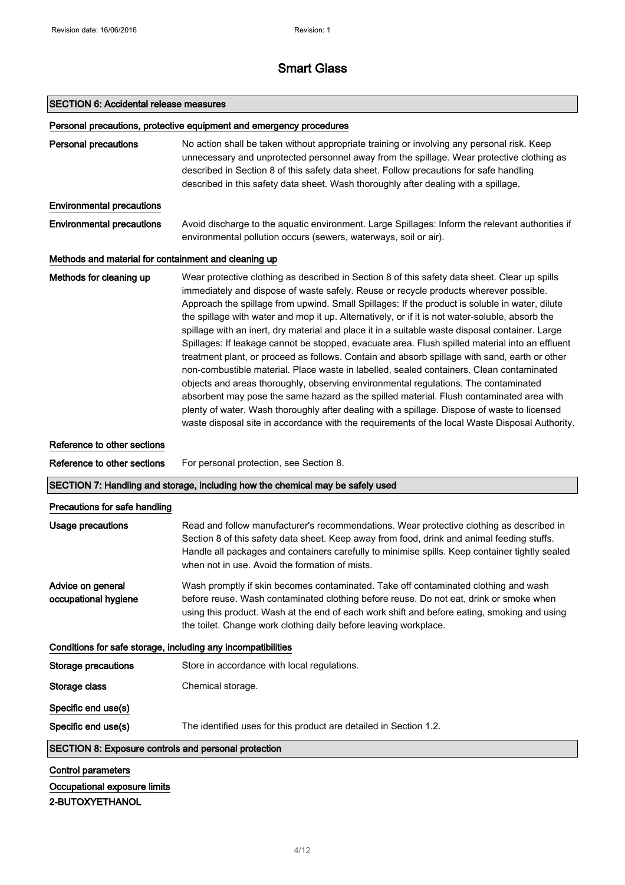# SECTION 6: Accidental release measures

|                                                              | Personal precautions, protective equipment and emergency procedures                                                                                                                                                                                                                                                                                                                                                                                                                                                                                                                                                                                                                                                                                                                                                                                                                                                                                                                                                                                                                                                                                                                 |
|--------------------------------------------------------------|-------------------------------------------------------------------------------------------------------------------------------------------------------------------------------------------------------------------------------------------------------------------------------------------------------------------------------------------------------------------------------------------------------------------------------------------------------------------------------------------------------------------------------------------------------------------------------------------------------------------------------------------------------------------------------------------------------------------------------------------------------------------------------------------------------------------------------------------------------------------------------------------------------------------------------------------------------------------------------------------------------------------------------------------------------------------------------------------------------------------------------------------------------------------------------------|
| <b>Personal precautions</b>                                  | No action shall be taken without appropriate training or involving any personal risk. Keep<br>unnecessary and unprotected personnel away from the spillage. Wear protective clothing as<br>described in Section 8 of this safety data sheet. Follow precautions for safe handling<br>described in this safety data sheet. Wash thoroughly after dealing with a spillage.                                                                                                                                                                                                                                                                                                                                                                                                                                                                                                                                                                                                                                                                                                                                                                                                            |
| <b>Environmental precautions</b>                             |                                                                                                                                                                                                                                                                                                                                                                                                                                                                                                                                                                                                                                                                                                                                                                                                                                                                                                                                                                                                                                                                                                                                                                                     |
| <b>Environmental precautions</b>                             | Avoid discharge to the aquatic environment. Large Spillages: Inform the relevant authorities if<br>environmental pollution occurs (sewers, waterways, soil or air).                                                                                                                                                                                                                                                                                                                                                                                                                                                                                                                                                                                                                                                                                                                                                                                                                                                                                                                                                                                                                 |
| Methods and material for containment and cleaning up         |                                                                                                                                                                                                                                                                                                                                                                                                                                                                                                                                                                                                                                                                                                                                                                                                                                                                                                                                                                                                                                                                                                                                                                                     |
| Methods for cleaning up                                      | Wear protective clothing as described in Section 8 of this safety data sheet. Clear up spills<br>immediately and dispose of waste safely. Reuse or recycle products wherever possible.<br>Approach the spillage from upwind. Small Spillages: If the product is soluble in water, dilute<br>the spillage with water and mop it up. Alternatively, or if it is not water-soluble, absorb the<br>spillage with an inert, dry material and place it in a suitable waste disposal container. Large<br>Spillages: If leakage cannot be stopped, evacuate area. Flush spilled material into an effluent<br>treatment plant, or proceed as follows. Contain and absorb spillage with sand, earth or other<br>non-combustible material. Place waste in labelled, sealed containers. Clean contaminated<br>objects and areas thoroughly, observing environmental regulations. The contaminated<br>absorbent may pose the same hazard as the spilled material. Flush contaminated area with<br>plenty of water. Wash thoroughly after dealing with a spillage. Dispose of waste to licensed<br>waste disposal site in accordance with the requirements of the local Waste Disposal Authority. |
| Reference to other sections                                  |                                                                                                                                                                                                                                                                                                                                                                                                                                                                                                                                                                                                                                                                                                                                                                                                                                                                                                                                                                                                                                                                                                                                                                                     |
|                                                              |                                                                                                                                                                                                                                                                                                                                                                                                                                                                                                                                                                                                                                                                                                                                                                                                                                                                                                                                                                                                                                                                                                                                                                                     |
| Reference to other sections                                  | For personal protection, see Section 8.                                                                                                                                                                                                                                                                                                                                                                                                                                                                                                                                                                                                                                                                                                                                                                                                                                                                                                                                                                                                                                                                                                                                             |
|                                                              | SECTION 7: Handling and storage, including how the chemical may be safely used                                                                                                                                                                                                                                                                                                                                                                                                                                                                                                                                                                                                                                                                                                                                                                                                                                                                                                                                                                                                                                                                                                      |
| Precautions for safe handling                                |                                                                                                                                                                                                                                                                                                                                                                                                                                                                                                                                                                                                                                                                                                                                                                                                                                                                                                                                                                                                                                                                                                                                                                                     |
| Usage precautions                                            | Read and follow manufacturer's recommendations. Wear protective clothing as described in<br>Section 8 of this safety data sheet. Keep away from food, drink and animal feeding stuffs.<br>Handle all packages and containers carefully to minimise spills. Keep container tightly sealed<br>when not in use. Avoid the formation of mists.                                                                                                                                                                                                                                                                                                                                                                                                                                                                                                                                                                                                                                                                                                                                                                                                                                          |
| Advice on general<br>occupational hygiene                    | Wash promptly if skin becomes contaminated. Take off contaminated clothing and wash<br>before reuse. Wash contaminated clothing before reuse. Do not eat, drink or smoke when<br>using this product. Wash at the end of each work shift and before eating, smoking and using<br>the toilet. Change work clothing daily before leaving workplace.                                                                                                                                                                                                                                                                                                                                                                                                                                                                                                                                                                                                                                                                                                                                                                                                                                    |
| Conditions for safe storage, including any incompatibilities |                                                                                                                                                                                                                                                                                                                                                                                                                                                                                                                                                                                                                                                                                                                                                                                                                                                                                                                                                                                                                                                                                                                                                                                     |
| <b>Storage precautions</b>                                   | Store in accordance with local regulations.                                                                                                                                                                                                                                                                                                                                                                                                                                                                                                                                                                                                                                                                                                                                                                                                                                                                                                                                                                                                                                                                                                                                         |
| Storage class                                                | Chemical storage.                                                                                                                                                                                                                                                                                                                                                                                                                                                                                                                                                                                                                                                                                                                                                                                                                                                                                                                                                                                                                                                                                                                                                                   |
| Specific end use(s)                                          |                                                                                                                                                                                                                                                                                                                                                                                                                                                                                                                                                                                                                                                                                                                                                                                                                                                                                                                                                                                                                                                                                                                                                                                     |
| Specific end use(s)                                          | The identified uses for this product are detailed in Section 1.2.                                                                                                                                                                                                                                                                                                                                                                                                                                                                                                                                                                                                                                                                                                                                                                                                                                                                                                                                                                                                                                                                                                                   |
| <b>SECTION 8: Exposure controls and personal protection</b>  |                                                                                                                                                                                                                                                                                                                                                                                                                                                                                                                                                                                                                                                                                                                                                                                                                                                                                                                                                                                                                                                                                                                                                                                     |

Occupational exposure limits 2-BUTOXYETHANOL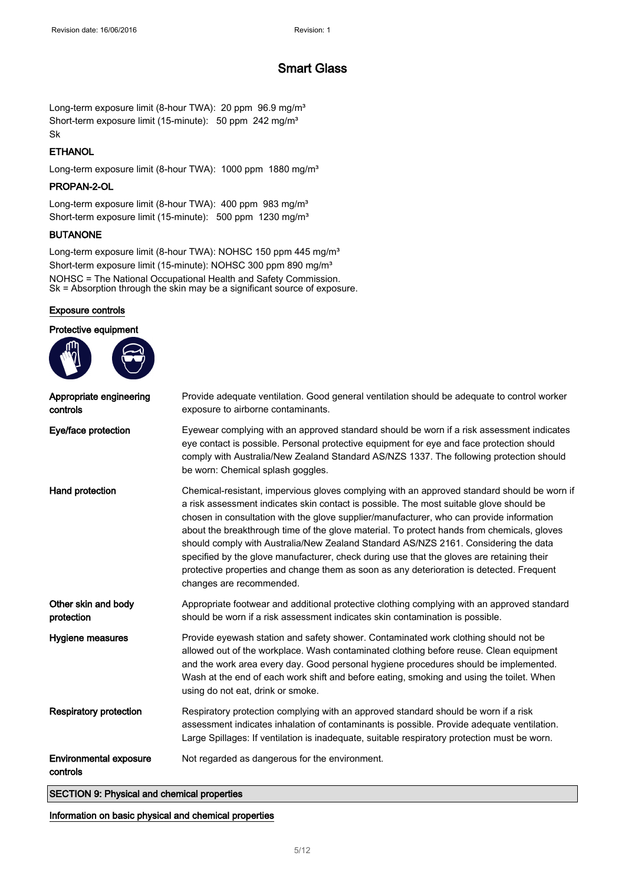Long-term exposure limit (8-hour TWA): 20 ppm 96.9 mg/m<sup>3</sup> Short-term exposure limit (15-minute): 50 ppm 242 mg/m<sup>3</sup> Sk

## **ETHANOL**

Long-term exposure limit (8-hour TWA): 1000 ppm 1880 mg/m<sup>3</sup>

## PROPAN-2-OL

Long-term exposure limit (8-hour TWA): 400 ppm 983 mg/m<sup>3</sup> Short-term exposure limit (15-minute): 500 ppm 1230 mg/m<sup>3</sup>

### BUTANONE

Long-term exposure limit (8-hour TWA): NOHSC 150 ppm 445 mg/m<sup>3</sup> Short-term exposure limit (15-minute): NOHSC 300 ppm 890 mg/m<sup>3</sup> NOHSC = The National Occupational Health and Safety Commission. Sk = Absorption through the skin may be a significant source of exposure.

### Exposure controls

| Provide adequate ventilation. Good general ventilation should be adequate to control worker<br>exposure to airborne contaminants.                                                                                                                                                                                                                                                                                                                                                                                                                                                                                                                                                            |
|----------------------------------------------------------------------------------------------------------------------------------------------------------------------------------------------------------------------------------------------------------------------------------------------------------------------------------------------------------------------------------------------------------------------------------------------------------------------------------------------------------------------------------------------------------------------------------------------------------------------------------------------------------------------------------------------|
| Eyewear complying with an approved standard should be worn if a risk assessment indicates<br>eye contact is possible. Personal protective equipment for eye and face protection should<br>comply with Australia/New Zealand Standard AS/NZS 1337. The following protection should<br>be worn: Chemical splash goggles.                                                                                                                                                                                                                                                                                                                                                                       |
| Chemical-resistant, impervious gloves complying with an approved standard should be worn if<br>a risk assessment indicates skin contact is possible. The most suitable glove should be<br>chosen in consultation with the glove supplier/manufacturer, who can provide information<br>about the breakthrough time of the glove material. To protect hands from chemicals, gloves<br>should comply with Australia/New Zealand Standard AS/NZS 2161. Considering the data<br>specified by the glove manufacturer, check during use that the gloves are retaining their<br>protective properties and change them as soon as any deterioration is detected. Frequent<br>changes are recommended. |
| Appropriate footwear and additional protective clothing complying with an approved standard<br>should be worn if a risk assessment indicates skin contamination is possible.                                                                                                                                                                                                                                                                                                                                                                                                                                                                                                                 |
| Provide eyewash station and safety shower. Contaminated work clothing should not be<br>allowed out of the workplace. Wash contaminated clothing before reuse. Clean equipment<br>and the work area every day. Good personal hygiene procedures should be implemented.<br>Wash at the end of each work shift and before eating, smoking and using the toilet. When<br>using do not eat, drink or smoke.                                                                                                                                                                                                                                                                                       |
| Respiratory protection complying with an approved standard should be worn if a risk<br>assessment indicates inhalation of contaminants is possible. Provide adequate ventilation.<br>Large Spillages: If ventilation is inadequate, suitable respiratory protection must be worn.                                                                                                                                                                                                                                                                                                                                                                                                            |
| Not regarded as dangerous for the environment.                                                                                                                                                                                                                                                                                                                                                                                                                                                                                                                                                                                                                                               |
|                                                                                                                                                                                                                                                                                                                                                                                                                                                                                                                                                                                                                                                                                              |

Information on basic physical and chemical properties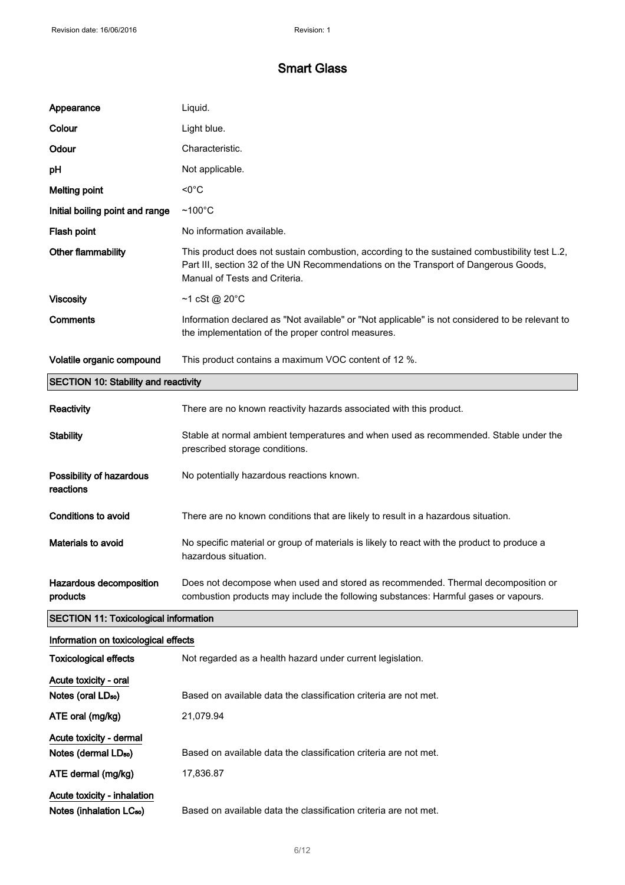| Appearance                                   | Liquid.                                                                                                                                                                                                               |
|----------------------------------------------|-----------------------------------------------------------------------------------------------------------------------------------------------------------------------------------------------------------------------|
| Colour                                       | Light blue.                                                                                                                                                                                                           |
| Odour                                        | Characteristic.                                                                                                                                                                                                       |
| pH                                           | Not applicable.                                                                                                                                                                                                       |
| <b>Melting point</b>                         | $< 0^{\circ}$ C                                                                                                                                                                                                       |
| Initial boiling point and range              | $~100^{\circ}$ C                                                                                                                                                                                                      |
| Flash point                                  | No information available.                                                                                                                                                                                             |
| Other flammability                           | This product does not sustain combustion, according to the sustained combustibility test L.2,<br>Part III, section 32 of the UN Recommendations on the Transport of Dangerous Goods,<br>Manual of Tests and Criteria. |
| <b>Viscosity</b>                             | $~1$ cSt @ 20 $\degree$ C                                                                                                                                                                                             |
| Comments                                     | Information declared as "Not available" or "Not applicable" is not considered to be relevant to<br>the implementation of the proper control measures.                                                                 |
| Volatile organic compound                    | This product contains a maximum VOC content of 12 %.                                                                                                                                                                  |
| <b>SECTION 10: Stability and reactivity</b>  |                                                                                                                                                                                                                       |
| Reactivity                                   | There are no known reactivity hazards associated with this product.                                                                                                                                                   |
| <b>Stability</b>                             | Stable at normal ambient temperatures and when used as recommended. Stable under the<br>prescribed storage conditions.                                                                                                |
| Possibility of hazardous<br>reactions        | No potentially hazardous reactions known.                                                                                                                                                                             |
| <b>Conditions to avoid</b>                   | There are no known conditions that are likely to result in a hazardous situation.                                                                                                                                     |
| Materials to avoid                           | No specific material or group of materials is likely to react with the product to produce a<br>hazardous situation.                                                                                                   |
| Hazardous decomposition<br>products          | Does not decompose when used and stored as recommended. Thermal decomposition or<br>combustion products may include the following substances: Harmful gases or vapours.                                               |
| <b>SECTION 11: Toxicological information</b> |                                                                                                                                                                                                                       |
| Information on toxicological effects         |                                                                                                                                                                                                                       |
| <b>Toxicological effects</b>                 | Not regarded as a health hazard under current legislation.                                                                                                                                                            |
| Acute toxicity - oral                        |                                                                                                                                                                                                                       |
| Notes (oral LD <sub>50</sub> )               | Based on available data the classification criteria are not met.                                                                                                                                                      |
| ATE oral (mg/kg)                             | 21,079.94                                                                                                                                                                                                             |
| Acute toxicity - dermal                      |                                                                                                                                                                                                                       |
| Notes (dermal LD <sub>50</sub> )             | Based on available data the classification criteria are not met.                                                                                                                                                      |

ATE dermal (mg/kg) 17,836.87

Acute toxicity - inhalation Notes (inhalation LC<sub>50</sub>) Based on available data the classification criteria are not met.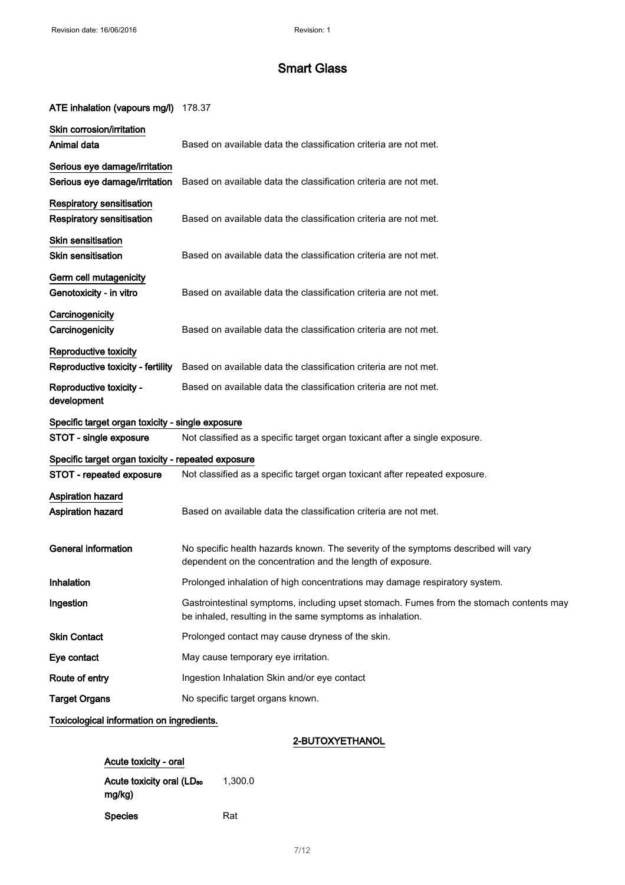## ATE inhalation (vapours mg/l) 178.37

| Skin corrosion/irritation<br>Animal data                       | Based on available data the classification criteria are not met.                                                                                     |
|----------------------------------------------------------------|------------------------------------------------------------------------------------------------------------------------------------------------------|
| Serious eye damage/irritation<br>Serious eye damage/irritation | Based on available data the classification criteria are not met.                                                                                     |
| Respiratory sensitisation<br><b>Respiratory sensitisation</b>  | Based on available data the classification criteria are not met.                                                                                     |
| <b>Skin sensitisation</b><br><b>Skin sensitisation</b>         | Based on available data the classification criteria are not met.                                                                                     |
| Germ cell mutagenicity<br>Genotoxicity - in vitro              | Based on available data the classification criteria are not met.                                                                                     |
| Carcinogenicity<br>Carcinogenicity                             | Based on available data the classification criteria are not met.                                                                                     |
| Reproductive toxicity<br>Reproductive toxicity - fertility     | Based on available data the classification criteria are not met.                                                                                     |
| Reproductive toxicity -<br>development                         | Based on available data the classification criteria are not met.                                                                                     |
| Specific target organ toxicity - single exposure               |                                                                                                                                                      |
| STOT - single exposure                                         | Not classified as a specific target organ toxicant after a single exposure.                                                                          |
| Specific target organ toxicity - repeated exposure             |                                                                                                                                                      |
| STOT - repeated exposure                                       | Not classified as a specific target organ toxicant after repeated exposure.                                                                          |
| <b>Aspiration hazard</b><br>Aspiration hazard                  | Based on available data the classification criteria are not met.                                                                                     |
| <b>General information</b>                                     | No specific health hazards known. The severity of the symptoms described will vary<br>dependent on the concentration and the length of exposure.     |
| <b>Inhalation</b>                                              | Prolonged inhalation of high concentrations may damage respiratory system.                                                                           |
| Ingestion                                                      | Gastrointestinal symptoms, including upset stomach. Fumes from the stomach contents may<br>be inhaled, resulting in the same symptoms as inhalation. |
| <b>Skin Contact</b>                                            | Prolonged contact may cause dryness of the skin.                                                                                                     |
| Eye contact                                                    | May cause temporary eye irritation.                                                                                                                  |
| Route of entry                                                 | Ingestion Inhalation Skin and/or eye contact                                                                                                         |
| <b>Target Organs</b>                                           | No specific target organs known.                                                                                                                     |
|                                                                |                                                                                                                                                      |

## Toxicological information on ingredients.

## 2-BUTOXYETHANOL

| Acute toxicity - oral                           |         |
|-------------------------------------------------|---------|
| Acute toxicity oral (LD <sub>50</sub><br>mg/kg) | 1,300.0 |
| <b>Species</b>                                  | Rat     |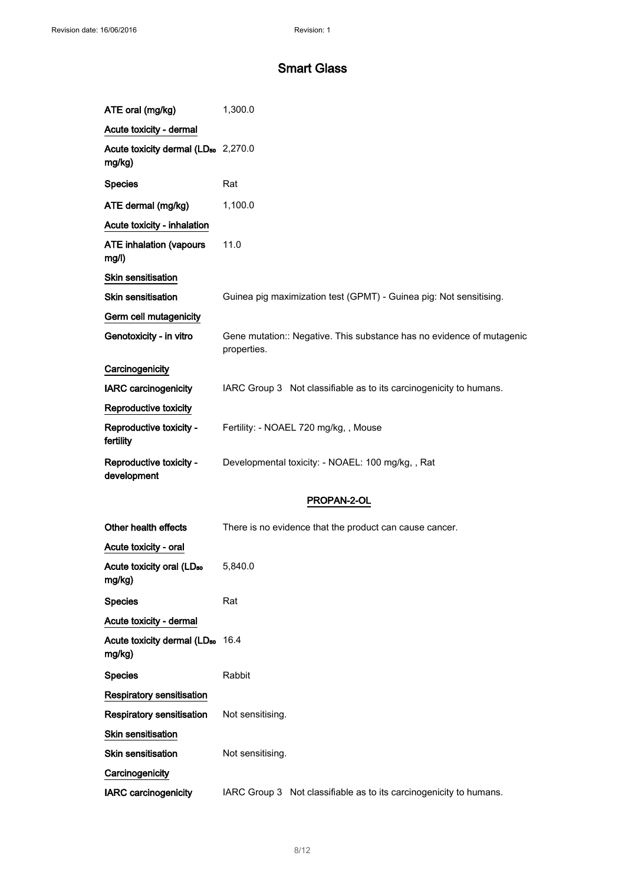$\mathcal{L}^{\pm}$ 

# Smart Glass

| ATE oral (mg/kg)                                          | 1,300.0                                                                              |
|-----------------------------------------------------------|--------------------------------------------------------------------------------------|
| Acute toxicity - dermal                                   |                                                                                      |
| Acute toxicity dermal (LD <sub>50</sub> 2,270.0<br>mg/kg) |                                                                                      |
| <b>Species</b>                                            | Rat                                                                                  |
| ATE dermal (mg/kg)                                        | 1,100.0                                                                              |
| Acute toxicity - inhalation                               |                                                                                      |
| <b>ATE inhalation (vapours</b><br>mg/l)                   | 11.0                                                                                 |
| <b>Skin sensitisation</b>                                 |                                                                                      |
| <b>Skin sensitisation</b>                                 | Guinea pig maximization test (GPMT) - Guinea pig: Not sensitising.                   |
| Germ cell mutagenicity                                    |                                                                                      |
| Genotoxicity - in vitro                                   | Gene mutation:: Negative. This substance has no evidence of mutagenic<br>properties. |
| Carcinogenicity                                           |                                                                                      |
| <b>IARC carcinogenicity</b>                               | IARC Group 3 Not classifiable as to its carcinogenicity to humans.                   |
| Reproductive toxicity                                     |                                                                                      |
| Reproductive toxicity -<br>fertility                      | Fertility: - NOAEL 720 mg/kg,, Mouse                                                 |
| Reproductive toxicity -<br>development                    | Developmental toxicity: - NOAEL: 100 mg/kg,, Rat                                     |
|                                                           | PROPAN-2-OL                                                                          |
| Other health effects                                      | There is no evidence that the product can cause cancer.                              |
| Acute toxicity - oral                                     |                                                                                      |
| Acute toxicity oral (LD <sub>50</sub><br>mg/kg)           | 5,840.0                                                                              |
| <b>Species</b>                                            | Rat                                                                                  |
| Acute toxicity - dermal                                   |                                                                                      |
| Acute toxicity dermal (LD <sub>50</sub> 16.4<br>mg/kg)    |                                                                                      |
| <b>Species</b>                                            | Rabbit                                                                               |
| <b>Respiratory sensitisation</b>                          |                                                                                      |
| <b>Respiratory sensitisation</b>                          | Not sensitising.                                                                     |
| <b>Skin sensitisation</b>                                 |                                                                                      |
| <b>Skin sensitisation</b>                                 | Not sensitising.                                                                     |
| Carcinogenicity                                           |                                                                                      |
| <b>IARC carcinogenicity</b>                               | IARC Group 3 Not classifiable as to its carcinogenicity to humans.                   |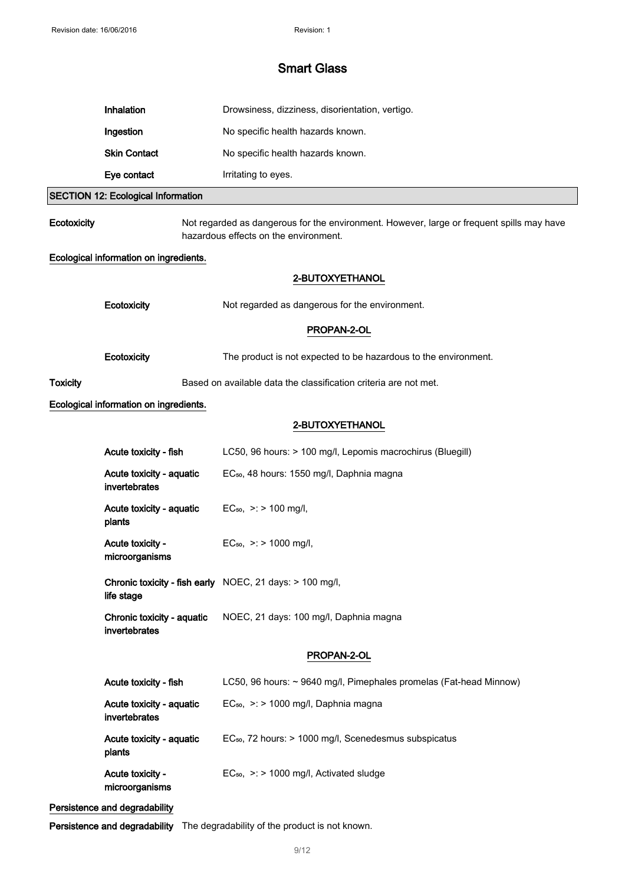|                                        | <b>Inhalation</b>                           | Drowsiness, dizziness, disorientation, vertigo.                                                                                    |  |
|----------------------------------------|---------------------------------------------|------------------------------------------------------------------------------------------------------------------------------------|--|
|                                        | Ingestion                                   | No specific health hazards known.                                                                                                  |  |
|                                        | <b>Skin Contact</b>                         | No specific health hazards known.                                                                                                  |  |
|                                        | Eye contact                                 | Irritating to eyes.                                                                                                                |  |
|                                        | <b>SECTION 12: Ecological Information</b>   |                                                                                                                                    |  |
| Ecotoxicity                            |                                             | Not regarded as dangerous for the environment. However, large or frequent spills may have<br>hazardous effects on the environment. |  |
| Ecological information on ingredients. |                                             |                                                                                                                                    |  |
|                                        |                                             | 2-BUTOXYETHANOL                                                                                                                    |  |
|                                        | Ecotoxicity                                 | Not regarded as dangerous for the environment.                                                                                     |  |
|                                        |                                             | PROPAN-2-OL                                                                                                                        |  |
|                                        | Ecotoxicity                                 | The product is not expected to be hazardous to the environment.                                                                    |  |
| <b>Toxicity</b>                        |                                             | Based on available data the classification criteria are not met.                                                                   |  |
|                                        | Ecological information on ingredients.      |                                                                                                                                    |  |
|                                        |                                             | 2-BUTOXYETHANOL                                                                                                                    |  |
|                                        | Acute toxicity - fish                       | LC50, 96 hours: > 100 mg/l, Lepomis macrochirus (Bluegill)                                                                         |  |
|                                        | Acute toxicity - aquatic<br>invertebrates   | EC <sub>50</sub> , 48 hours: 1550 mg/l, Daphnia magna                                                                              |  |
|                                        | Acute toxicity - aquatic<br>plants          | $EC_{50}$ , >: > 100 mg/l,                                                                                                         |  |
|                                        | Acute toxicity -<br>microorganisms          | $EC_{50}$ , >: > 1000 mg/l,                                                                                                        |  |
|                                        | life stage                                  | Chronic toxicity - fish early NOEC, 21 days: > 100 mg/l,                                                                           |  |
|                                        | Chronic toxicity - aquatic<br>invertebrates | NOEC, 21 days: 100 mg/l, Daphnia magna                                                                                             |  |
|                                        |                                             | PROPAN-2-OL                                                                                                                        |  |
|                                        | Acute toxicity - fish                       | LC50, 96 hours: ~ 9640 mg/l, Pimephales promelas (Fat-head Minnow)                                                                 |  |
|                                        | Acute toxicity - aquatic<br>invertebrates   | $EC_{50}$ , >: > 1000 mg/l, Daphnia magna                                                                                          |  |
|                                        | Acute toxicity - aquatic<br>plants          | EC <sub>50</sub> , 72 hours: > 1000 mg/l, Scenedesmus subspicatus                                                                  |  |
|                                        | Acute toxicity -<br>microorganisms          | $EC_{50}$ , >: > 1000 mg/l, Activated sludge                                                                                       |  |

# Persistence and degradability

Persistence and degradability The degradability of the product is not known.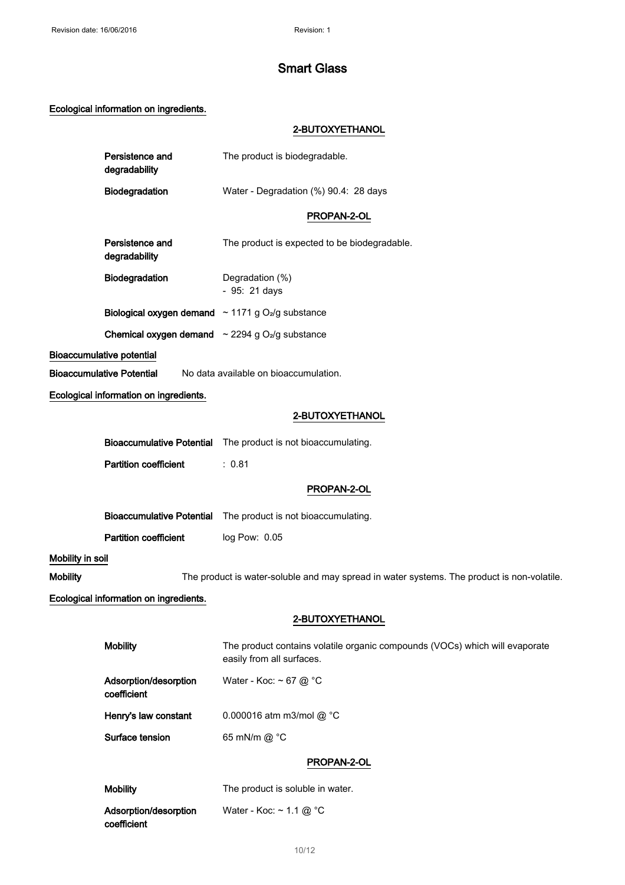# Ecological information on ingredients.

## 2-BUTOXYETHANOL

|                  | Persistence and<br>degradability                                          | The product is biodegradable.                                                                            |
|------------------|---------------------------------------------------------------------------|----------------------------------------------------------------------------------------------------------|
|                  | Biodegradation                                                            | Water - Degradation (%) 90.4: 28 days                                                                    |
|                  |                                                                           | PROPAN-2-OL                                                                                              |
|                  | Persistence and<br>degradability                                          | The product is expected to be biodegradable.                                                             |
|                  | Biodegradation                                                            | Degradation (%)<br>- 95: 21 days                                                                         |
|                  | <b>Biological oxygen demand</b> $\sim$ 1171 g O <sub>2</sub> /g substance |                                                                                                          |
|                  | <b>Chemical oxygen demand</b> $\sim$ 2294 g O <sub>2</sub> /g substance   |                                                                                                          |
|                  | <b>Bioaccumulative potential</b>                                          |                                                                                                          |
|                  | <b>Bioaccumulative Potential</b>                                          | No data available on bioaccumulation.                                                                    |
|                  | Ecological information on ingredients.                                    |                                                                                                          |
|                  |                                                                           | 2-BUTOXYETHANOL                                                                                          |
|                  |                                                                           | Bioaccumulative Potential The product is not bioaccumulating.                                            |
|                  | <b>Partition coefficient</b>                                              | : 0.81                                                                                                   |
|                  |                                                                           | PROPAN-2-OL                                                                                              |
|                  | <b>Bioaccumulative Potential</b>                                          | The product is not bioaccumulating.                                                                      |
|                  | <b>Partition coefficient</b>                                              | log Pow: 0.05                                                                                            |
| Mobility in soil |                                                                           |                                                                                                          |
| <b>Mobility</b>  |                                                                           | The product is water-soluble and may spread in water systems. The product is non-volatile.               |
|                  | Ecological information on ingredients.                                    |                                                                                                          |
|                  |                                                                           | 2-BUTOXYETHANOL                                                                                          |
|                  | <b>Mobility</b>                                                           | The product contains volatile organic compounds (VOCs) which will evaporate<br>easily from all surfaces. |
|                  | Adsorption/desorption<br>coefficient                                      | Water - Koc: ~ 67 @ $^{\circ}$ C                                                                         |
|                  | Henry's law constant                                                      | 0.000016 atm m3/mol @ °C                                                                                 |
|                  | Surface tension                                                           | 65 mN/m @ °C                                                                                             |
|                  |                                                                           | PROPAN-2-OL                                                                                              |
|                  | <b>Mobility</b>                                                           | The product is soluble in water.                                                                         |
|                  | Adsorption/desorption                                                     | Water - Koc: $\sim$ 1.1 @ °C                                                                             |

Adsorption/desorption coefficient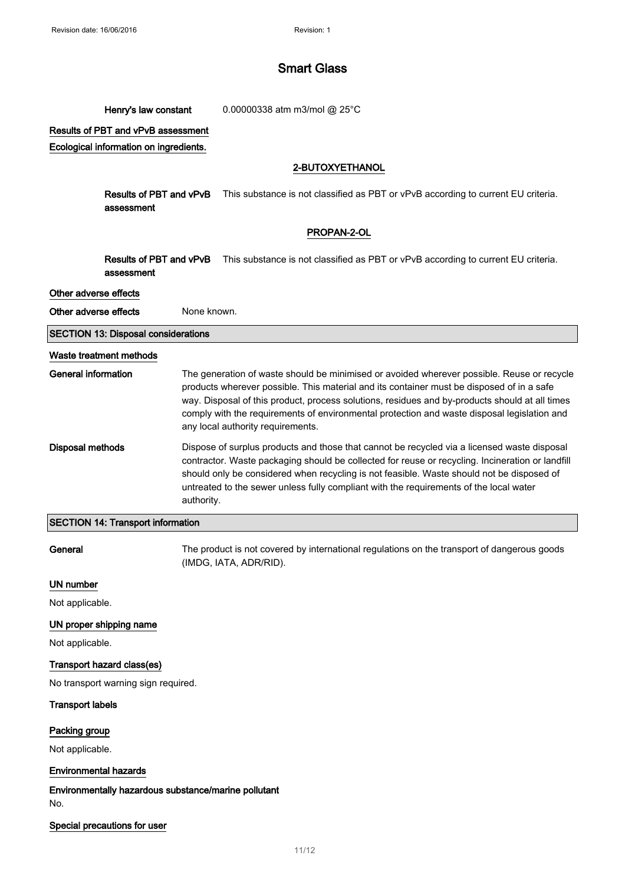Henry's law constant 0.00000338 atm m3/mol @ 25°C

Results of PBT and vPvB assessment

Ecological information on ingredients.

## 2-BUTOXYETHANOL

Results of PBT and vPvB assessment This substance is not classified as PBT or vPvB according to current EU criteria.

### PROPAN-2-OL

Results of PBT and vPvB assessment This substance is not classified as PBT or vPvB according to current EU criteria.

### Other adverse effects

Other adverse effects None known.

SECTION 13: Disposal considerations

#### Waste treatment methods

| General information | The generation of waste should be minimised or avoided wherever possible. Reuse or recycle<br>products wherever possible. This material and its container must be disposed of in a safe<br>way. Disposal of this product, process solutions, residues and by-products should at all times<br>comply with the requirements of environmental protection and waste disposal legislation and<br>any local authority requirements. |
|---------------------|-------------------------------------------------------------------------------------------------------------------------------------------------------------------------------------------------------------------------------------------------------------------------------------------------------------------------------------------------------------------------------------------------------------------------------|
| Disposal methods    | Dispose of surplus products and those that cannot be recycled via a licensed waste disposal<br>contractor. Waste packaging should be collected for reuse or recycling. Incineration or landfill<br>should only be considered when recycling is not feasible. Waste should not be disposed of<br>untreated to the sewer unless fully compliant with the requirements of the local water<br>authority.                          |

### SECTION 14: Transport information

General The product is not covered by international regulations on the transport of dangerous goods (IMDG, IATA, ADR/RID).

#### UN number

Not applicable.

### UN proper shipping name

Not applicable.

## Transport hazard class(es)

No transport warning sign required.

#### Transport labels

## Packing group

Not applicable.

## Environmental hazards

Environmentally hazardous substance/marine pollutant No.

### Special precautions for user